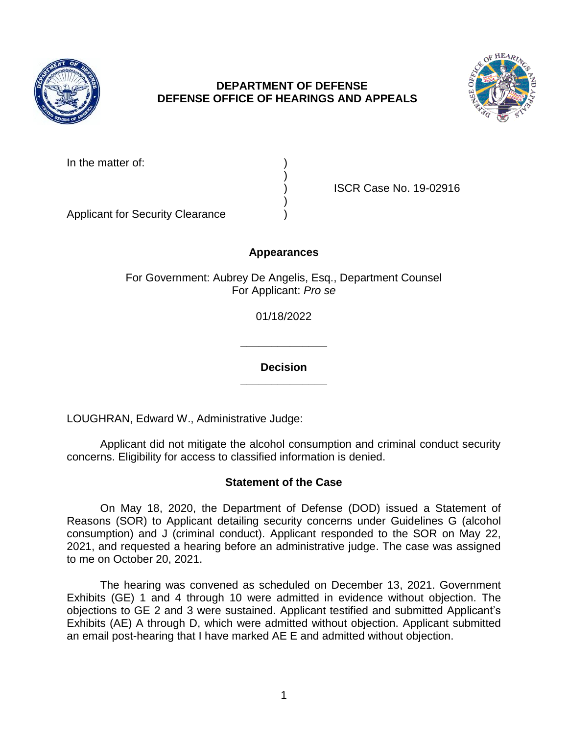

# **DEPARTMENT OF DEFENSE DEFENSE OFFICE OF HEARINGS AND APPEALS**



| In the matter of: |  |
|-------------------|--|
|                   |  |

) ISCR Case No. 19-02916

Applicant for Security Clearance )

# **Appearances**

)

)

For Government: Aubrey De Angelis, Esq., Department Counsel For Applicant: *Pro se* 

01/18/2022

**\_\_\_\_\_\_\_\_\_\_\_\_\_\_ Decision** 

**\_\_\_\_\_\_\_\_\_\_\_\_\_\_** 

LOUGHRAN, Edward W., Administrative Judge:

 Applicant did not mitigate the alcohol consumption and criminal conduct security concerns. Eligibility for access to classified information is denied.

### **Statement of the Case**

 On May 18, 2020, the Department of Defense (DOD) issued a Statement of consumption) and J (criminal conduct). Applicant responded to the SOR on May 22, 2021, and requested a hearing before an administrative judge. The case was assigned Reasons (SOR) to Applicant detailing security concerns under Guidelines G (alcohol to me on October 20, 2021.

 The hearing was convened as scheduled on December 13, 2021. Government Exhibits (GE) 1 and 4 through 10 were admitted in evidence without objection. The objections to GE 2 and 3 were sustained. Applicant testified and submitted Applicant's an email post-hearing that I have marked AE E and admitted without objection. Exhibits (AE) A through D, which were admitted without objection. Applicant submitted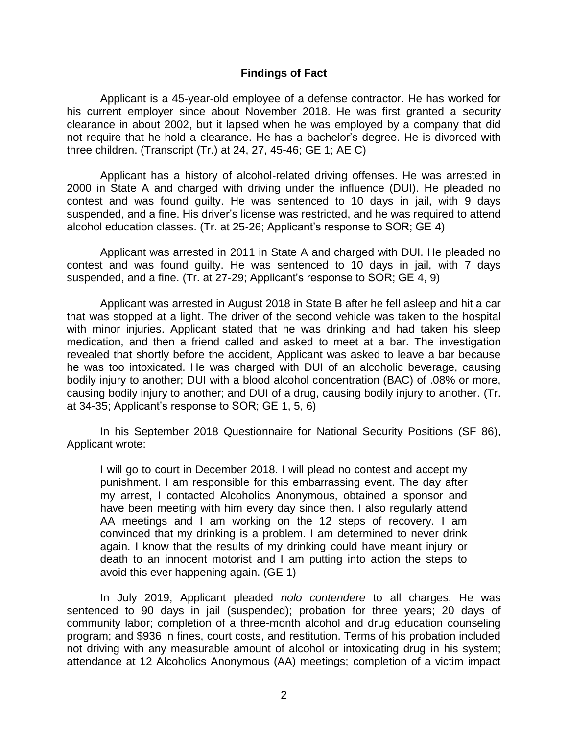### **Findings of Fact**

 Applicant is a 45-year-old employee of a defense contractor. He has worked for his current employer since about November 2018. He was first granted a security clearance in about 2002, but it lapsed when he was employed by a company that did not require that he hold a clearance. He has a bachelor's degree. He is divorced with three children. (Transcript (Tr.) at 24, 27, 45-46; GE 1; AE C)

 Applicant has a history of alcohol-related driving offenses. He was arrested in 2000 in State A and charged with driving under the influence (DUI). He pleaded no contest and was found guilty. He was sentenced to 10 days in jail, with 9 days alcohol education classes. (Tr. at 25-26; Applicant's response to SOR; GE 4) suspended, and a fine. His driver's license was restricted, and he was required to attend

 Applicant was arrested in 2011 in State A and charged with DUI. He pleaded no contest and was found guilty. He was sentenced to 10 days in jail, with 7 days suspended, and a fine. (Tr. at 27-29; Applicant's response to SOR; GE 4, 9)

 Applicant was arrested in August 2018 in State B after he fell asleep and hit a car that was stopped at a light. The driver of the second vehicle was taken to the hospital with minor injuries. Applicant stated that he was drinking and had taken his sleep medication, and then a friend called and asked to meet at a bar. The investigation revealed that shortly before the accident, Applicant was asked to leave a bar because he was too intoxicated. He was charged with DUI of an alcoholic beverage, causing bodily injury to another; DUI with a blood alcohol concentration (BAC) of .08% or more, causing bodily injury to another; and DUI of a drug, causing bodily injury to another. (Tr. at 34-35; Applicant's response to SOR; GE 1, 5, 6)

In his September 2018 Questionnaire for National Security Positions (SF 86), Applicant wrote:

 I will go to court in December 2018. I will plead no contest and accept my punishment. I am responsible for this embarrassing event. The day after my arrest, I contacted Alcoholics Anonymous, obtained a sponsor and have been meeting with him every day since then. I also regularly attend AA meetings and I am working on the 12 steps of recovery. I am convinced that my drinking is a problem. I am determined to never drink again. I know that the results of my drinking could have meant injury or death to an innocent motorist and I am putting into action the steps to avoid this ever happening again. (GE 1)

 In July 2019, Applicant pleaded *nolo contendere* to all charges. He was sentenced to 90 days in jail (suspended); probation for three years; 20 days of community labor; completion of a three-month alcohol and drug education counseling program; and \$936 in fines, court costs, and restitution. Terms of his probation included not driving with any measurable amount of alcohol or intoxicating drug in his system; attendance at 12 Alcoholics Anonymous (AA) meetings; completion of a victim impact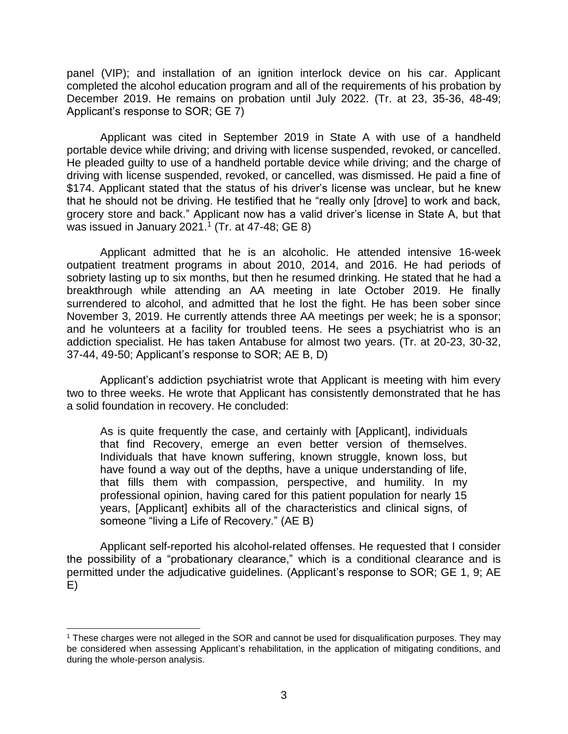panel (VIP); and installation of an ignition interlock device on his car. Applicant completed the alcohol education program and all of the requirements of his probation by December 2019. He remains on probation until July 2022. (Tr. at 23, 35-36, 48-49; Applicant's response to SOR; GE 7)

Applicant was cited in September 2019 in State A with use of a handheld portable device while driving; and driving with license suspended, revoked, or cancelled. He pleaded guilty to use of a handheld portable device while driving; and the charge of driving with license suspended, revoked, or cancelled, was dismissed. He paid a fine of \$174. Applicant stated that the status of his driver's license was unclear, but he knew that he should not be driving. He testified that he "really only [drove] to work and back, grocery store and back." Applicant now has a valid driver's license in State A, but that was issued in January 2021.<sup>1</sup> (Tr. at 47-48; GE 8)

 Applicant admitted that he is an alcoholic. He attended intensive 16-week outpatient treatment programs in about 2010, 2014, and 2016. He had periods of sobriety lasting up to six months, but then he resumed drinking. He stated that he had a breakthrough while attending an AA meeting in late October 2019. He finally surrendered to alcohol, and admitted that he lost the fight. He has been sober since November 3, 2019. He currently attends three AA meetings per week; he is a sponsor; and he volunteers at a facility for troubled teens. He sees a psychiatrist who is an addiction specialist. He has taken Antabuse for almost two years. (Tr. at 20-23, 30-32, 37-44, 49-50; Applicant's response to SOR; AE B, D)

 Applicant's addiction psychiatrist wrote that Applicant is meeting with him every two to three weeks. He wrote that Applicant has consistently demonstrated that he has a solid foundation in recovery. He concluded:

 As is quite frequently the case, and certainly with [Applicant], individuals that find Recovery, emerge an even better version of themselves. Individuals that have known suffering, known struggle, known loss, but have found a way out of the depths, have a unique understanding of life, that fills them with compassion, perspective, and humility. In my professional opinion, having cared for this patient population for nearly 15 years, [Applicant] exhibits all of the characteristics and clinical signs, of someone "living a Life of Recovery." (AE B)

 Applicant self-reported his alcohol-related offenses. He requested that I consider the possibility of a "probationary clearance," which is a conditional clearance and is permitted under the adjudicative guidelines. (Applicant's response to SOR; GE 1, 9; AE E)

 $\overline{a}$ 

 be considered when assessing Applicant's rehabilitation, in the application of mitigating conditions, and 1 These charges were not alleged in the SOR and cannot be used for disqualification purposes. They may during the whole-person analysis.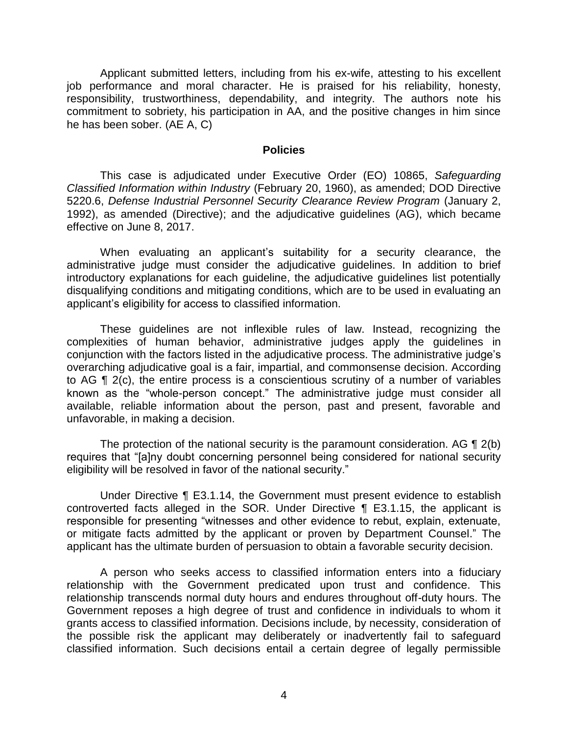Applicant submitted letters, including from his ex-wife, attesting to his excellent responsibility, trustworthiness, dependability, and integrity. The authors note his commitment to sobriety, his participation in AA, and the positive changes in him since job performance and moral character. He is praised for his reliability, honesty, he has been sober. (AE A, C)

#### **Policies**

 *Classified Information within Industry* (February 20, 1960), as amended; DOD Directive 5220.6, *Defense Industrial Personnel Security Clearance Review Program* (January 2, 1992), as amended (Directive); and the adjudicative guidelines (AG), which became This case is adjudicated under Executive Order (EO) 10865, *Safeguarding*  effective on June 8, 2017.

 When evaluating an applicant's suitability for a security clearance, the administrative judge must consider the adjudicative guidelines. In addition to brief introductory explanations for each guideline, the adjudicative guidelines list potentially disqualifying conditions and mitigating conditions, which are to be used in evaluating an applicant's eligibility for access to classified information.

 These guidelines are not inflexible rules of law. Instead, recognizing the complexities of human behavior, administrative judges apply the guidelines in conjunction with the factors listed in the adjudicative process. The administrative judge's overarching adjudicative goal is a fair, impartial, and commonsense decision. According to AG ¶ 2(c), the entire process is a conscientious scrutiny of a number of variables known as the "whole-person concept." The administrative judge must consider all available, reliable information about the person, past and present, favorable and unfavorable, in making a decision.

The protection of the national security is the paramount consideration. AG  $\P$  2(b) eligibility will be resolved in favor of the national security." requires that "[a]ny doubt concerning personnel being considered for national security

 Under Directive ¶ E3.1.14, the Government must present evidence to establish controverted facts alleged in the SOR. Under Directive ¶ E3.1.15, the applicant is responsible for presenting "witnesses and other evidence to rebut, explain, extenuate, or mitigate facts admitted by the applicant or proven by Department Counsel." The applicant has the ultimate burden of persuasion to obtain a favorable security decision.

 A person who seeks access to classified information enters into a fiduciary relationship with the Government predicated upon trust and confidence. This relationship transcends normal duty hours and endures throughout off-duty hours. The Government reposes a high degree of trust and confidence in individuals to whom it grants access to classified information. Decisions include, by necessity, consideration of the possible risk the applicant may deliberately or inadvertently fail to safeguard classified information. Such decisions entail a certain degree of legally permissible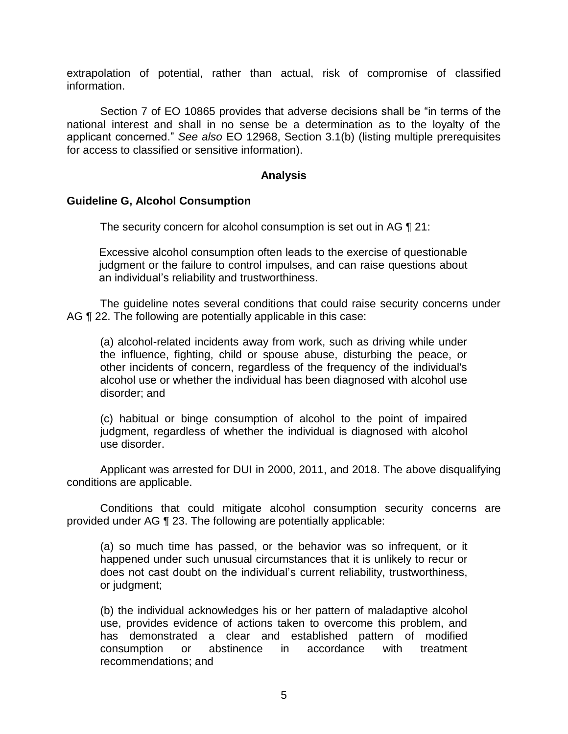extrapolation of potential, rather than actual, risk of compromise of classified information.

 Section 7 of EO 10865 provides that adverse decisions shall be "in terms of the national interest and shall in no sense be a determination as to the loyalty of the applicant concerned." *See also* EO 12968, Section 3.1(b) (listing multiple prerequisites for access to classified or sensitive information).

### **Analysis**

### **Guideline G, Alcohol Consumption**

The security concern for alcohol consumption is set out in AG  $\P$  21:

 Excessive alcohol consumption often leads to the exercise of questionable judgment or the failure to control impulses, and can raise questions about an individual's reliability and trustworthiness.

 The guideline notes several conditions that could raise security concerns under AG ¶ 22. The following are potentially applicable in this case:

 (a) alcohol-related incidents away from work, such as driving while under the influence, fighting, child or spouse abuse, disturbing the peace, or other incidents of concern, regardless of the frequency of the individual's alcohol use or whether the individual has been diagnosed with alcohol use disorder; and

 (c) habitual or binge consumption of alcohol to the point of impaired judgment, regardless of whether the individual is diagnosed with alcohol use disorder.

 Applicant was arrested for DUI in 2000, 2011, and 2018. The above disqualifying conditions are applicable.

 Conditions that could mitigate alcohol consumption security concerns are provided under AG ¶ 23. The following are potentially applicable:

 (a) so much time has passed, or the behavior was so infrequent, or it happened under such unusual circumstances that it is unlikely to recur or does not cast doubt on the individual's current reliability, trustworthiness, or judgment;

 (b) the individual acknowledges his or her pattern of maladaptive alcohol use, provides evidence of actions taken to overcome this problem, and has demonstrated a clear and established pattern of modified abstinence consumption or abstinence in accordance with treatment recommendations; and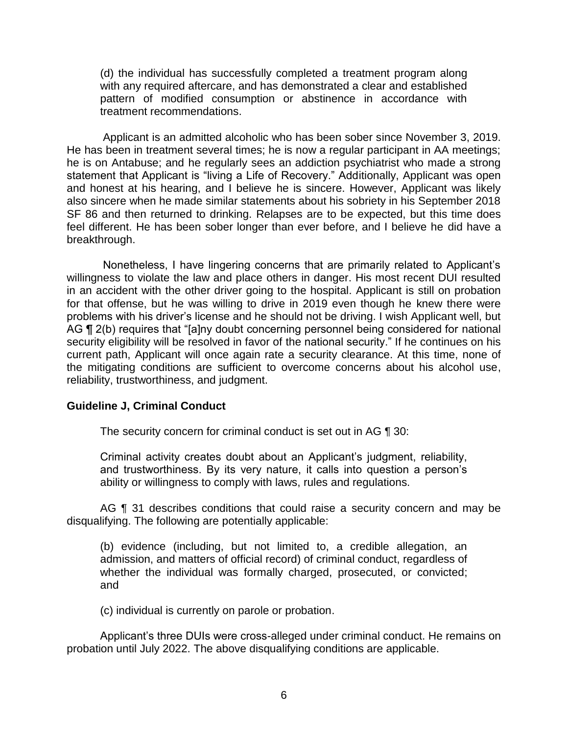(d) the individual has successfully completed a treatment program along with any required aftercare, and has demonstrated a clear and established pattern of modified consumption or abstinence in accordance with treatment recommendations.

 Applicant is an admitted alcoholic who has been sober since November 3, 2019. He has been in treatment several times; he is now a regular participant in AA meetings; he is on Antabuse; and he regularly sees an addiction psychiatrist who made a strong statement that Applicant is "living a Life of Recovery." Additionally, Applicant was open and honest at his hearing, and I believe he is sincere. However, Applicant was likely also sincere when he made similar statements about his sobriety in his September 2018 SF 86 and then returned to drinking. Relapses are to be expected, but this time does feel different. He has been sober longer than ever before, and I believe he did have a breakthrough.

 Nonetheless, I have lingering concerns that are primarily related to Applicant's willingness to violate the law and place others in danger. His most recent DUI resulted in an accident with the other driver going to the hospital. Applicant is still on probation for that offense, but he was willing to drive in 2019 even though he knew there were problems with his driver's license and he should not be driving. I wish Applicant well, but AG ¶ 2(b) requires that "[a]ny doubt concerning personnel being considered for national security eligibility will be resolved in favor of the national security." If he continues on his current path, Applicant will once again rate a security clearance. At this time, none of the mitigating conditions are sufficient to overcome concerns about his alcohol use, reliability, trustworthiness, and judgment.

### **Guideline J, Criminal Conduct**

The security concern for criminal conduct is set out in AG ¶ 30:

Criminal activity creates doubt about an Applicant's judgment, reliability, and trustworthiness. By its very nature, it calls into question a person's ability or willingness to comply with laws, rules and regulations.

AG ¶ 31 describes conditions that could raise a security concern and may be disqualifying. The following are potentially applicable:

 (b) evidence (including, but not limited to, a credible allegation, an whether the individual was formally charged, prosecuted, or convicted; admission, and matters of official record) of criminal conduct, regardless of and

(c) individual is currently on parole or probation.

Applicant's three DUIs were cross-alleged under criminal conduct. He remains on probation until July 2022. The above disqualifying conditions are applicable.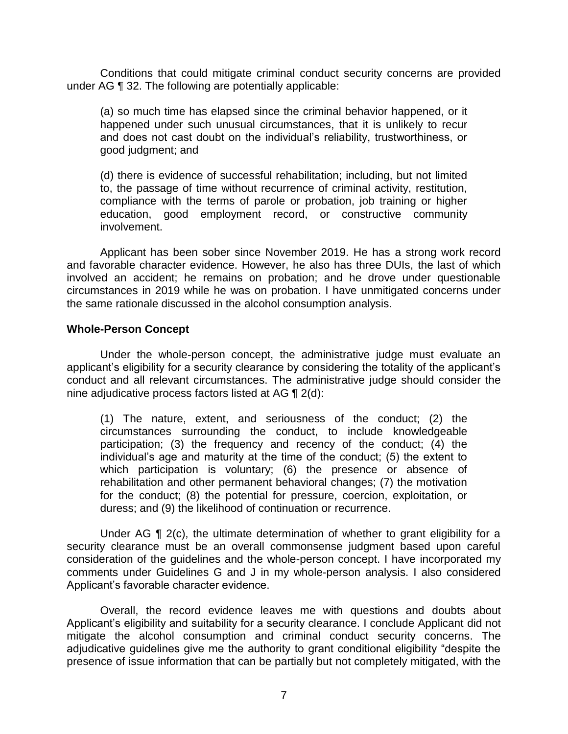Conditions that could mitigate criminal conduct security concerns are provided under AG ¶ 32. The following are potentially applicable:

(a) so much time has elapsed since the criminal behavior happened, or it happened under such unusual circumstances, that it is unlikely to recur and does not cast doubt on the individual's reliability, trustworthiness, or good judgment; and

 (d) there is evidence of successful rehabilitation; including, but not limited to, the passage of time without recurrence of criminal activity, restitution, compliance with the terms of parole or probation, job training or higher education, good employment record, or constructive community involvement.

 Applicant has been sober since November 2019. He has a strong work record and favorable character evidence. However, he also has three DUIs, the last of which involved an accident; he remains on probation; and he drove under questionable circumstances in 2019 while he was on probation. I have unmitigated concerns under the same rationale discussed in the alcohol consumption analysis.

### **Whole-Person Concept**

 Under the whole-person concept, the administrative judge must evaluate an applicant's eligibility for a security clearance by considering the totality of the applicant's conduct and all relevant circumstances. The administrative judge should consider the nine adjudicative process factors listed at AG ¶ 2(d):

(1) The nature, extent, and seriousness of the conduct; (2) the circumstances surrounding the conduct, to include knowledgeable participation; (3) the frequency and recency of the conduct; (4) the individual's age and maturity at the time of the conduct; (5) the extent to which participation is voluntary; (6) the presence or absence of rehabilitation and other permanent behavioral changes; (7) the motivation for the conduct; (8) the potential for pressure, coercion, exploitation, or duress; and (9) the likelihood of continuation or recurrence.

Under AG  $\P$  2(c), the ultimate determination of whether to grant eligibility for a security clearance must be an overall commonsense judgment based upon careful consideration of the guidelines and the whole-person concept. I have incorporated my comments under Guidelines G and J in my whole-person analysis. I also considered Applicant's favorable character evidence.

 Overall, the record evidence leaves me with questions and doubts about Applicant's eligibility and suitability for a security clearance. I conclude Applicant did not mitigate the alcohol consumption and criminal conduct security concerns. The adjudicative guidelines give me the authority to grant conditional eligibility "despite the presence of issue information that can be partially but not completely mitigated, with the